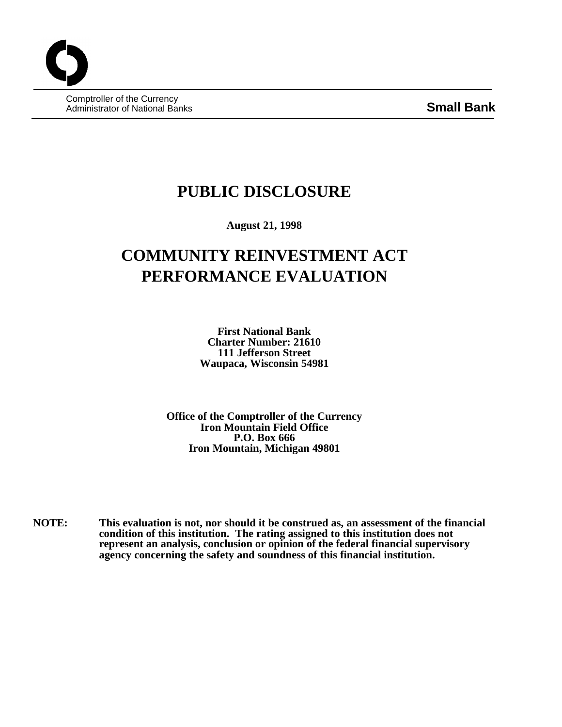Comptroller of the Currency Administrator of National Banks **Small Bank**

## **PUBLIC DISCLOSURE**

**August 21, 1998**

# **COMMUNITY REINVESTMENT ACT PERFORMANCE EVALUATION**

**First National Bank Charter Number: 21610 111 Jefferson Street Waupaca, Wisconsin 54981**

**Office of the Comptroller of the Currency Iron Mountain Field Office P.O. Box 666 Iron Mountain, Michigan 49801**

**NOTE: This evaluation is not, nor should it be construed as, an assessment of the financial condition of this institution. The rating assigned to this institution does not represent an analysis, conclusion or opinion of the federal financial supervisory agency concerning the safety and soundness of this financial institution.**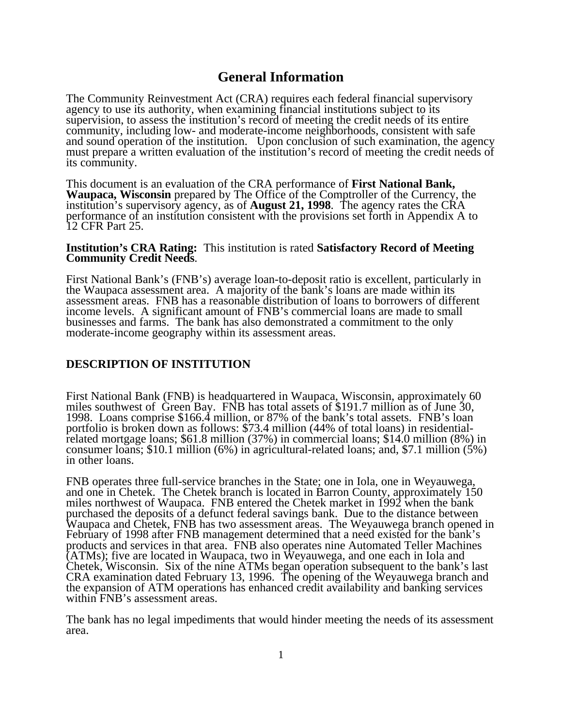## **General Information**

The Community Reinvestment Act (CRA) requires each federal financial supervisory agency to use its authority, when examining financial institutions subject to its supervision, to assess the institution's record of meeting the credit needs of its entire community, including low- and moderate-income neighborhoods, consistent with safe and sound operation of the institution. Upon conclusion of such examination, the agency must prepare a written evaluation of the institution's record of meeting the credit needs of its community.

This document is an evaluation of the CRA performance of **First National Bank, Waupaca, Wisconsin** prepared by The Office of the Comptroller of the Currency, the institution's supervisory agency, as of **August 21, 1998**. The agency rates the CRA performance of an institution consistent with the provisions set forth in Appendix A to 12 CFR Part 25.

#### **Institution's CRA Rating:** This institution is rated **Satisfactory Record of Meeting Community Credit Needs**.

First National Bank's (FNB's) average loan-to-deposit ratio is excellent, particularly in the Waupaca assessment area. A majority of the bank's loans are made within its assessment areas. FNB has a reasonable distribution of loans to borrowers of different income levels. A significant amount of FNB's commercial loans are made to small businesses and farms. The bank has also demonstrated a commitment to the only moderate-income geography within its assessment areas.

## **DESCRIPTION OF INSTITUTION**

First National Bank (FNB) is headquartered in Waupaca, Wisconsin, approximately 60 miles southwest of Green Bay. FNB has total assets of \$191.7 million as of June 30, 1998. Loans comprise \$166.4 million, or 87% of the bank's total assets. FNB's loan portfolio is broken down as follows: \$73.4 million (44% of total loans) in residentialrelated mortgage loans; \$61.8 million (37%) in commercial loans; \$14.0 million (8%) in consumer loans; \$10.1 million (6%) in agricultural-related loans; and, \$7.1 million (5%) in other loans.

FNB operates three full-service branches in the State; one in Iola, one in Weyauwega, and one in Chetek. The Chetek branch is located in Barron County, approximately 150 miles northwest of Waupaca. FNB entered the Chetek market in 1992 when the bank purchased the deposits of a defunct federal savings bank. Due to the distance between Waupaca and Chetek, FNB has two assessment areas. The Weyauwega branch opened in February of 1998 after FNB management determined that a need existed for the bank's products and services in that area. FNB also operates nine Automated Teller Machines (ATMs); five are located in Waupaca, two in Weyauwega, and one each in Iola and Chetek, Wisconsin. Six of the nine ATMs began operation subsequent to the bank's last CRA examination dated February 13, 1996. The opening of the Weyauwega branch and the expansion of ATM operations has enhanced credit availability and banking services within FNB's assessment areas.

The bank has no legal impediments that would hinder meeting the needs of its assessment area.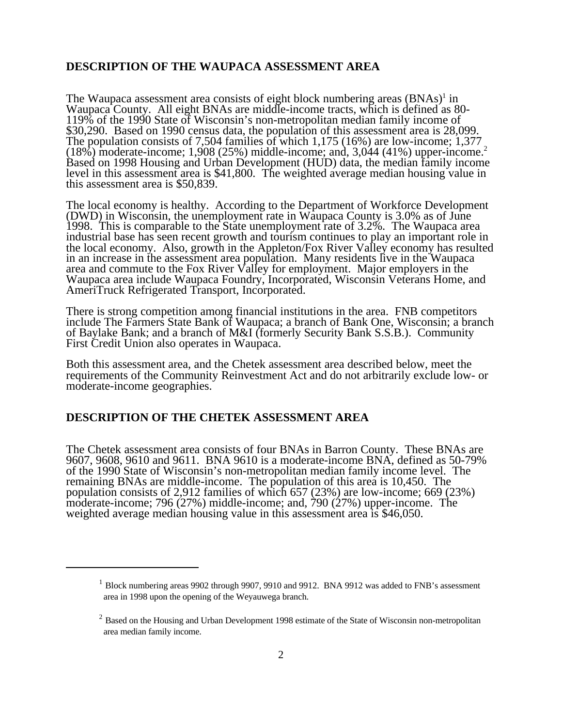## **DESCRIPTION OF THE WAUPACA ASSESSMENT AREA**

The Waupaca assessment area consists of eight block numbering areas  $(BNAs)^{1}$  in Waupaca County. All eight BNAs are middle-income tracts, which is defined as 80- 119% of the 1990 State of Wisconsin's non-metropolitan median family income of \$30,290. Based on 1990 census data, the population of this assessment area is 28,099. The population consists of 7,504 families of which 1,175 (16%) are low-income; 1,377 (18%) moderate-income; 1,908 (25%) middle-income; and, 3,044 (41%) upper-income.<sup>2</sup> Based on 1998 Housing and Urban Development (HUD) data, the median family income level in this assessment area is \$41,800. The weighted average median housing value in this assessment area is \$50,839.

The local economy is healthy. According to the Department of Workforce Development (DWD) in Wisconsin, the unemployment rate in Waupaca County is 3.0% as of June 1998. This is comparable to the State unemployment rate of 3.2%. The Waupaca area industrial base has seen recent growth and tourism continues to play an important role in the local economy. Also, growth in the Appleton/Fox River Valley economy has resulted in an increase in the assessment area population. Many residents live in the Waupaca area and commute to the Fox River Valley for employment. Major employers in the Waupaca area include Waupaca Foundry, Incorporated, Wisconsin Veterans Home, and AmeriTruck Refrigerated Transport, Incorporated.

There is strong competition among financial institutions in the area. FNB competitors include The Farmers State Bank of Waupaca; a branch of Bank One, Wisconsin; a branch of Baylake Bank; and a branch of M&I (formerly Security Bank S.S.B.). Community First Credit Union also operates in Waupaca.

Both this assessment area, and the Chetek assessment area described below, meet the requirements of the Community Reinvestment Act and do not arbitrarily exclude low- or moderate-income geographies.

#### **DESCRIPTION OF THE CHETEK ASSESSMENT AREA**

The Chetek assessment area consists of four BNAs in Barron County. These BNAs are 9607, 9608, 9610 and 9611. BNA 9610 is a moderate-income BNA, defined as 50-79% of the 1990 State of Wisconsin's non-metropolitan median family income level. The remaining BNAs are middle-income. The population of this area is 10,450. The population consists of 2,912 families of which 657 (23%) are low-income; 669 (23%) moderate-income; 796 (27%) middle-income; and, 790 (27%) upper-income. The weighted average median housing value in this assessment area is \$46,050.

 $1$  Block numbering areas 9902 through 9907, 9910 and 9912. BNA 9912 was added to FNB's assessment area in 1998 upon the opening of the Weyauwega branch.

 $<sup>2</sup>$  Based on the Housing and Urban Development 1998 estimate of the State of Wisconsin non-metropolitan</sup> area median family income.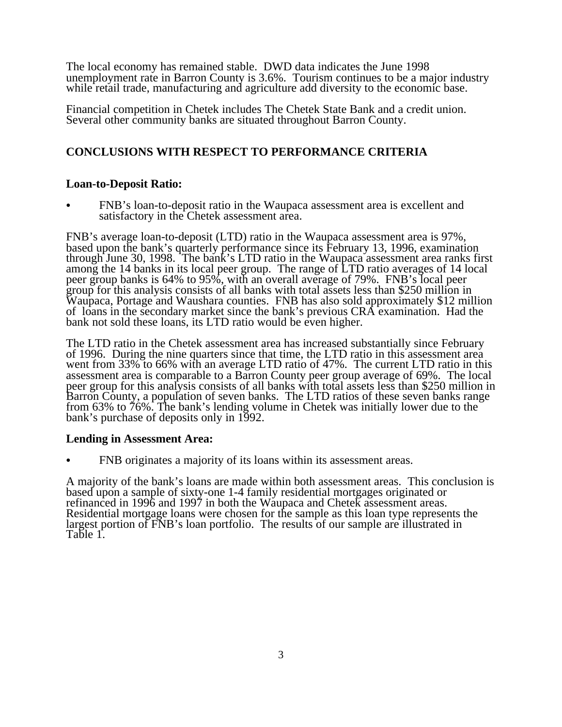The local economy has remained stable. DWD data indicates the June 1998 unemployment rate in Barron County is 3.6%. Tourism continues to be a major industry while retail trade, manufacturing and agriculture add diversity to the economic base.

Financial competition in Chetek includes The Chetek State Bank and a credit union. Several other community banks are situated throughout Barron County.

## **CONCLUSIONS WITH RESPECT TO PERFORMANCE CRITERIA**

## **Loan-to-Deposit Ratio:**

FNB's loan-to-deposit ratio in the Waupaca assessment area is excellent and satisfactory in the Chetek assessment area.

FNB's average loan-to-deposit (LTD) ratio in the Waupaca assessment area is 97%, based upon the bank's quarterly performance since its February 13, 1996, examination through June 30, 1998. The bank's LTD ratio in the Waupaca assessment area ranks first among the 14 banks in its local peer group. The range of LTD ratio averages of 14 local peer group banks is 64% to 95%, with an overall average of 79%. FNB's local peer group for this analysis consists of all banks with total assets less than \$250 million in Waupaca, Portage and Waushara counties. FNB has also sold approximately \$12 million of loans in the secondary market since the bank's previous CRA examination. Had the bank not sold these loans, its LTD ratio would be even higher.

The LTD ratio in the Chetek assessment area has increased substantially since February of 1996. During the nine quarters since that time, the LTD ratio in this assessment area went from 33% to 66% with an average LTD ratio of 47%. The current LTD ratio in this assessment area is comparable to a Barron County peer group average of 69%. The local peer group for this analysis consists of all banks with total assets less than \$250 million in Barron County, a population of seven banks. The LTD ratios of these seven banks range from 63% to 76%. The bank's lending volume in Chetek was initially lower due to the bank's purchase of deposits only in 1992.

## **Lending in Assessment Area:**

FNB originates a majority of its loans within its assessment areas.

A majority of the bank's loans are made within both assessment areas. This conclusion is based upon a sample of sixty-one 1-4 family residential mortgages originated or refinanced in 1996 and 1997 in both the Waupaca and Chetek assessment areas. Residential mortgage loans were chosen for the sample as this loan type represents the largest portion of FNB's loan portfolio. The results of our sample are illustrated in Table 1.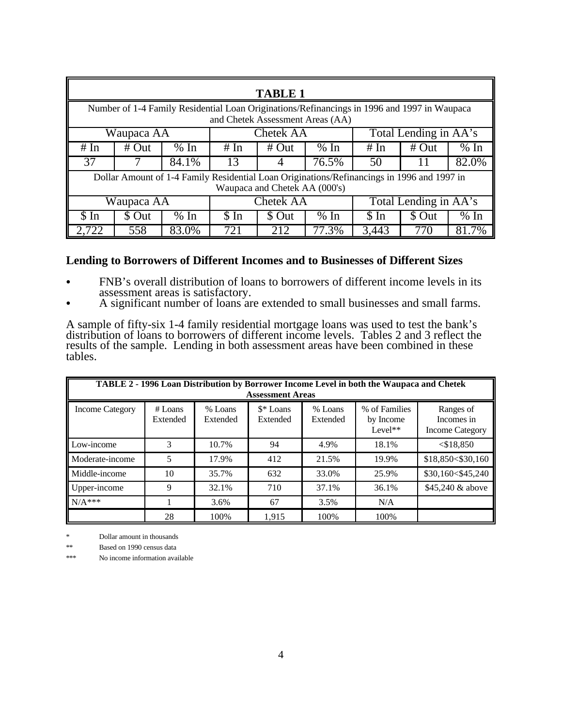| <b>TABLE 1</b>                                                                                                                  |        |       |                  |         |       |                       |        |       |  |
|---------------------------------------------------------------------------------------------------------------------------------|--------|-------|------------------|---------|-------|-----------------------|--------|-------|--|
| Number of 1-4 Family Residential Loan Originations/Refinancings in 1996 and 1997 in Waupaca<br>and Chetek Assessment Areas (AA) |        |       |                  |         |       |                       |        |       |  |
| Total Lending in AA's<br><b>Chetek AA</b><br>Waupaca AA                                                                         |        |       |                  |         |       |                       |        |       |  |
| # In                                                                                                                            | # Out  | % In  | # In             | # $Out$ | % In  | # Out<br>% In<br># In |        |       |  |
| 37                                                                                                                              |        | 84.1% | 13               |         | 76.5% | 82.0%<br>50           |        |       |  |
| Dollar Amount of 1-4 Family Residential Loan Originations/Refinancings in 1996 and 1997 in<br>Waupaca and Chetek AA (000's)     |        |       |                  |         |       |                       |        |       |  |
| Waupaca AA                                                                                                                      |        |       | <b>Chetek AA</b> |         |       | Total Lending in AA's |        |       |  |
| $\sin$                                                                                                                          | \$ Out | % In  | $\sin$           | \$ Out  | % In  | $\sin$                | \$ Out | % In  |  |
| 2,722                                                                                                                           | 558    | 83.0% | 721              | 212     | 77.3% | 3,443                 | 770    | 81.7% |  |

## **Lending to Borrowers of Different Incomes and to Businesses of Different Sizes**

- FNB's overall distribution of loans to borrowers of different income levels in its assessment areas is satisfactory.
- A significant number of loans are extended to small businesses and small farms.

A sample of fifty-six 1-4 family residential mortgage loans was used to test the bank's distribution of loans to borrowers of different income levels. Tables 2 and 3 reflect the results of the sample. Lending in both assessment areas have been combined in these tables.

| TABLE 2 - 1996 Loan Distribution by Borrower Income Level in both the Waupaca and Chetek<br><b>Assessment Areas</b> |                     |                     |                       |                     |                                         |                                                   |
|---------------------------------------------------------------------------------------------------------------------|---------------------|---------------------|-----------------------|---------------------|-----------------------------------------|---------------------------------------------------|
| <b>Income Category</b>                                                                                              | # Loans<br>Extended | % Loans<br>Extended | \$* Loans<br>Extended | % Loans<br>Extended | % of Families<br>by Income<br>$Level**$ | Ranges of<br>Incomes in<br><b>Income Category</b> |
| Low-income                                                                                                          | 3                   | 10.7%               | 94                    | 4.9%                | 18.1%                                   | $<$ \$18,850                                      |
| Moderate-income                                                                                                     | 5                   | 17.9%               | 412                   | 21.5%               | 19.9%                                   | \$18,850<\$30,160                                 |
| Middle-income                                                                                                       | 10                  | 35.7%               | 632                   | 33.0%               | 25.9%                                   | \$30,160<\$45,240                                 |
| Upper-income                                                                                                        | 9                   | 32.1%               | 710                   | 37.1%               | 36.1%                                   | \$45,240 & above                                  |
| $N/A$ ***                                                                                                           |                     | 3.6%                | 67                    | 3.5%                | N/A                                     |                                                   |
|                                                                                                                     | 28                  | 100%                | 1.915                 | 100%                | 100%                                    |                                                   |

Dollar amount in thousands

\*\* Based on 1990 census data

\*\*\* No income information available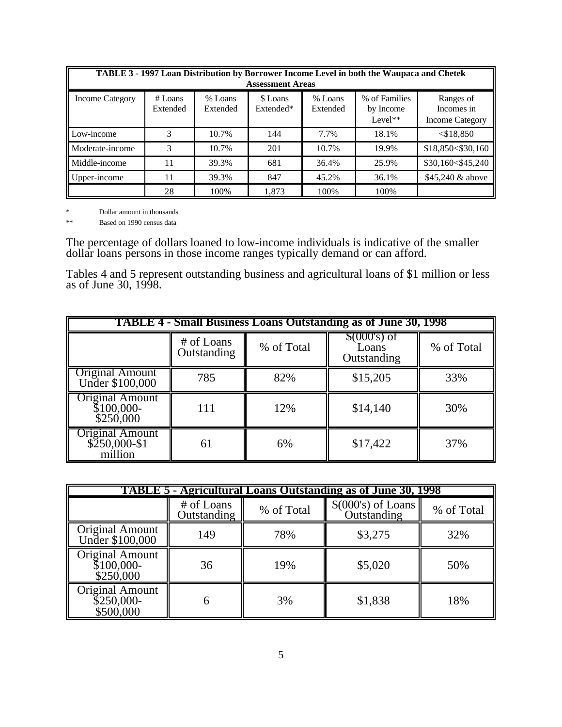| TABLE 3 - 1997 Loan Distribution by Borrower Income Level in both the Waupaca and Chetek<br><b>Assessment Areas</b> |                     |                     |                       |                     |                                         |                                                   |  |
|---------------------------------------------------------------------------------------------------------------------|---------------------|---------------------|-----------------------|---------------------|-----------------------------------------|---------------------------------------------------|--|
| <b>Income Category</b>                                                                                              | # Loans<br>Extended | % Loans<br>Extended | \$ Loans<br>Extended* | % Loans<br>Extended | % of Families<br>by Income<br>$Level**$ | Ranges of<br>Incomes in<br><b>Income Category</b> |  |
| Low-income                                                                                                          | 3                   | 10.7%               | 144                   | 7.7%                | 18.1%                                   | $<$ \$18,850                                      |  |
| Moderate-income                                                                                                     | 3                   | 10.7%               | 201                   | 10.7%               | 19.9%                                   | \$18,850<\$30,160                                 |  |
| Middle-income                                                                                                       | 11                  | 39.3%               | 681                   | 36.4%               | 25.9%                                   | \$30,160<\$45,240                                 |  |
| Upper-income                                                                                                        | 11                  | 39.3%               | 847                   | 45.2%               | 36.1%                                   | \$45,240 & above                                  |  |
|                                                                                                                     | 28                  | 100%                | 1.873                 | 100%                | 100%                                    |                                                   |  |

\* Dollar amount in thousands

\*\* Based on 1990 census data

The percentage of dollars loaned to low-income individuals is indicative of the smaller dollar loans persons in those income ranges typically demand or can afford.

Tables 4 and 5 represent outstanding business and agricultural loans of \$1 million or less as of June 30, 1998.

| <b>TABLE 4 - Small Business Loans Outstanding as of June 30, 1998</b> |                           |                                                     |          |            |  |  |
|-----------------------------------------------------------------------|---------------------------|-----------------------------------------------------|----------|------------|--|--|
|                                                                       | # of Loans<br>Outstanding | $$000$ 's) of<br>% of Total<br>Loans<br>Outstanding |          | % of Total |  |  |
| <b>Original Amount</b><br>Under \$100,000                             | 785                       | 82%                                                 | \$15,205 | 33%        |  |  |
| <b>Original Amount</b><br>$$100,000-$<br>\$250,000                    | 111                       | 12%                                                 | \$14,140 | 30%        |  |  |
| <b>Original Amount</b><br>$$250,000-S1$<br>million                    | 61                        | 6%                                                  | \$17,422 | 37%        |  |  |

| TABLE 5 - Agricultural Loans Outstanding as of June 30, 1998 |                           |            |                                    |            |  |  |  |
|--------------------------------------------------------------|---------------------------|------------|------------------------------------|------------|--|--|--|
|                                                              | # of Loans<br>Outstanding | % of Total | $$(000's)$ of Loans<br>Outstanding | % of Total |  |  |  |
| <b>Original Amount</b><br>Under \$100,000                    | 149                       | 78%        | \$3,275                            | 32%        |  |  |  |
| <b>Original Amount</b><br>$$100,000-$<br>\$250,000           | 36                        | 19%        | \$5,020                            | 50%        |  |  |  |
| <b>Original Amount</b><br>$$250,000-$<br>\$500,000           | 6                         | 3%         | \$1,838                            | 18%        |  |  |  |